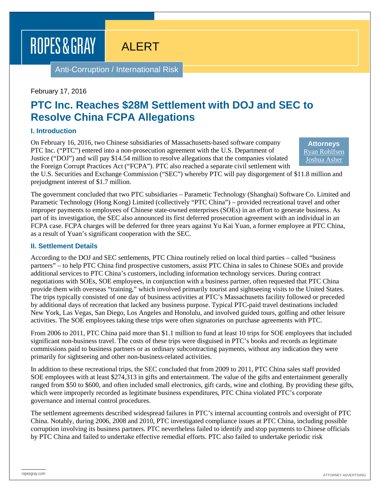# ROPES & GRAY

ALERT

Anti-Corruption / International Risk

#### February 17, 2016

## **PTC Inc. Reaches \$28M Settlement with DOJ and SEC to Resolve China FCPA Allegations**

#### **I. Introduction**

On February 16, 2016, two Chinese subsidiaries of Massachusetts-based software company PTC Inc. ("PTC") entered into a non-prosecution agreement with the U.S. Department of Justice ("DOJ") and will pay \$14.54 million to resolve allegations that the companies violated the Foreign Corrupt Practices Act ("FCPA"). PTC also reached a separate civil settlement with

**Attorneys** [Ryan Rohlfsen](http://www.ropesgray.com/biographies/r/ryan-rohlfsen.aspx) [Joshua Asher](http://www.ropesgray.com/biographies/a/joshua-asher.aspx)

the U.S. Securities and Exchange Commission ("SEC") whereby PTC will pay disgorgement of \$11.8 million and prejudgment interest of \$1.7 million.

The government concluded that two PTC subsidiaries – Parametic Technology (Shanghai) Software Co. Limited and Parametic Technology (Hong Kong) Limited (collectively "PTC China") – provided recreational travel and other improper payments to employees of Chinese state-owned enterprises (SOEs) in an effort to generate business. As part of its investigation, the SEC also announced its first deferred prosecution agreement with an individual in an FCPA case. FCPA charges will be deferred for three years against Yu Kai Yuan, a former employee at PTC China, as a result of Yuan's significant cooperation with the SEC.

#### **II. Settlement Details**

According to the DOJ and SEC settlements, PTC China routinely relied on local third parties – called "business partners" – to help PTC China find prospective customers, assist PTC China in sales to Chinese SOEs and provide additional services to PTC China's customers, including information technology services. During contract negotiations with SOEs, SOE employees, in conjunction with a business partner, often requested that PTC China provide them with overseas "training," which involved primarily tourist and sightseeing visits to the United States. The trips typically consisted of one day of business activities at PTC's Massachusetts facility followed or preceded by additional days of recreation that lacked any business purpose. Typical PTC-paid travel destinations included New York, Las Vegas, San Diego, Los Angeles and Honolulu, and involved guided tours, golfing and other leisure activities. The SOE employees taking these trips were often signatories on purchase agreements with PTC.

From 2006 to 2011, PTC China paid more than \$1.1 million to fund at least 10 trips for SOE employees that included significant non-business travel. The costs of these trips were disguised in PTC's books and records as legitimate commissions paid to business partners or as ordinary subcontracting payments, without any indication they were primarily for sightseeing and other non-business-related activities.

In addition to these recreational trips, the SEC concluded that from 2009 to 2011, PTC China sales staff provided SOE employees with at least \$274,313 in gifts and entertainment. The value of the gifts and entertainment generally ranged from \$50 to \$600, and often included small electronics, gift cards, wine and clothing. By providing these gifts, which were improperly recorded as legitimate business expenditures, PTC China violated PTC's corporate governance and internal control procedures.

The settlement agreements described widespread failures in PTC's internal accounting controls and oversight of PTC China. Notably, during 2006, 2008 and 2010, PTC investigated compliance issues at PTC China, including possible corruption involving its business partners. PTC nevertheless failed to identify and stop payments to Chinese officials by PTC China and failed to undertake effective remedial efforts. PTC also failed to undertake periodic risk